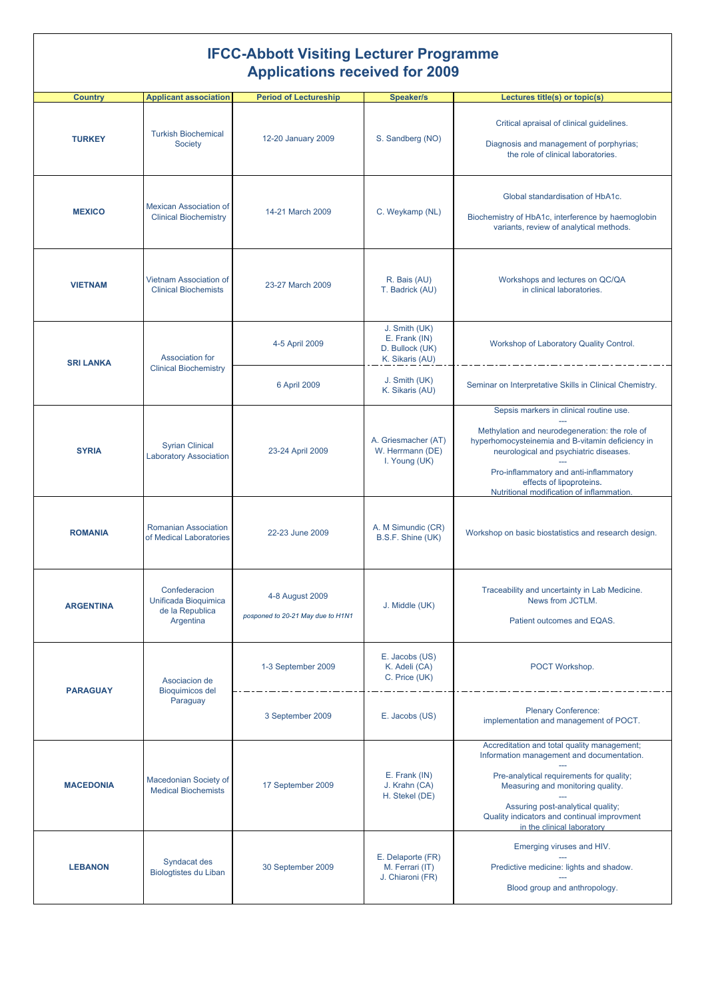## **IFCC-Abbott Visiting Lecturer Programme Applications received for 2009**

| <b>Country</b>   | <b>Applicant association</b>                                          | <b>Period of Lectureship</b>                         | <b>Speaker/s</b>                                                     | Lectures title(s) or topic(s)                                                                                                                                                                                                                                                                              |
|------------------|-----------------------------------------------------------------------|------------------------------------------------------|----------------------------------------------------------------------|------------------------------------------------------------------------------------------------------------------------------------------------------------------------------------------------------------------------------------------------------------------------------------------------------------|
| <b>TURKEY</b>    | <b>Turkish Biochemical</b><br>Society                                 | 12-20 January 2009                                   | S. Sandberg (NO)                                                     | Critical apraisal of clinical guidelines.<br>Diagnosis and management of porphyrias;<br>the role of clinical laboratories.                                                                                                                                                                                 |
| <b>MEXICO</b>    | <b>Mexican Association of</b><br><b>Clinical Biochemistry</b>         | 14-21 March 2009                                     | C. Weykamp (NL)                                                      | Global standardisation of HbA1c.<br>Biochemistry of HbA1c, interference by haemoglobin<br>variants, review of analytical methods.                                                                                                                                                                          |
| <b>VIETNAM</b>   | Vietnam Association of<br><b>Clinical Biochemists</b>                 | 23-27 March 2009                                     | R. Bais (AU)<br>T. Badrick (AU)                                      | Workshops and lectures on QC/QA<br>in clinical laboratories.                                                                                                                                                                                                                                               |
| <b>SRI LANKA</b> | Association for<br><b>Clinical Biochemistry</b>                       | 4-5 April 2009                                       | J. Smith (UK)<br>E. Frank (IN)<br>D. Bullock (UK)<br>K. Sikaris (AU) | Workshop of Laboratory Quality Control.                                                                                                                                                                                                                                                                    |
|                  |                                                                       | 6 April 2009                                         | J. Smith (UK)<br>K. Sikaris (AU)                                     | Seminar on Interpretative Skills in Clinical Chemistry.                                                                                                                                                                                                                                                    |
| <b>SYRIA</b>     | <b>Syrian Clinical</b><br><b>Laboratory Association</b>               | 23-24 April 2009                                     | A. Griesmacher (AT)<br>W. Herrmann (DE)<br>I. Young (UK)             | Sepsis markers in clinical routine use.<br>Methylation and neurodegeneration: the role of<br>hyperhomocysteinemia and B-vitamin deficiency in<br>neurological and psychiatric diseases.<br>Pro-inflammatory and anti-inflammatory<br>effects of lipoproteins.<br>Nutritional modification of inflammation. |
| <b>ROMANIA</b>   | Romanian Association<br>of Medical Laboratories                       | 22-23 June 2009                                      | A. M Simundic (CR)<br>B.S.F. Shine (UK)                              | Workshop on basic biostatistics and research design.                                                                                                                                                                                                                                                       |
| <b>ARGENTINA</b> | Confederacion<br>Unificada Bioquimica<br>de la Republica<br>Argentina | 4-8 August 2009<br>posponed to 20-21 May due to H1N1 | J. Middle (UK)                                                       | Traceability and uncertainty in Lab Medicine.<br>News from JCTLM.<br>Patient outcomes and EQAS.                                                                                                                                                                                                            |
| <b>PARAGUAY</b>  | Asociacion de<br><b>Bioquimicos del</b><br>Paraguay                   | 1-3 September 2009                                   | E. Jacobs (US)<br>K. Adeli (CA)<br>C. Price (UK)                     | POCT Workshop.                                                                                                                                                                                                                                                                                             |
|                  |                                                                       | 3 September 2009                                     | E. Jacobs (US)                                                       | <b>Plenary Conference:</b><br>implementation and management of POCT.                                                                                                                                                                                                                                       |
| <b>MACEDONIA</b> | Macedonian Society of<br><b>Medical Biochemists</b>                   | 17 September 2009                                    | E. Frank (IN)<br>J. Krahn (CA)<br>H. Stekel (DE)                     | Accreditation and total quality management;<br>Information management and documentation.<br>Pre-analytical requirements for quality;<br>Measuring and monitoring quality.<br>Assuring post-analytical quality;<br>Quality indicators and continual improvment<br>in the clinical laboratory                |
| <b>LEBANON</b>   | Syndacat des<br>Biologtistes du Liban                                 | 30 September 2009                                    | E. Delaporte (FR)<br>M. Ferrari (IT)<br>J. Chiaroni (FR)             | Emerging viruses and HIV.<br>Predictive medicine: lights and shadow.<br>Blood group and anthropology.                                                                                                                                                                                                      |